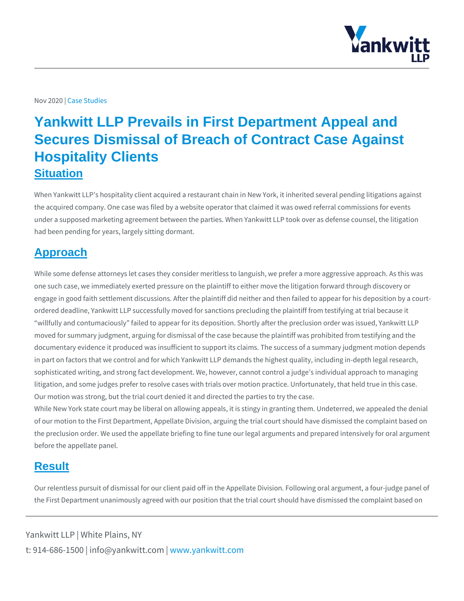## Nov 20229sb Studies

## Yankwitt LLP Prevails in First Department Appeal and Secures Dismissal of Breach of Contract Case Against Hospitality Clients **Situation**

When Yankwitt LLP s hospitality client acquired a restaurant chain in New York, the acquired company. One case was filed by a website operator that claimed it was own and referred referral commissions for events of the acquired company. under a supposed marketing agreement between the parties. When Yankwitt LLP to had been pending for years, largely sitting dormant.

## Approach

While some defense attorneys let cases they consider meritless to languish, we prefer one such case, we immediately exerted pressure on the plaintiff to either move t engage in good faith settlement discussions. After the plaintiff did neither and t ordered deadline, Yankwitt LLP successfully moved for sanctions precluding the willfully and contumaciously failed to appear for its deposition. Shortly after th moved for summary judgment, arguing for dismissal of the case because the plaint documentary evidence it produced was insufficient to support its claims. The suc in part on factors that we control and for which Yankwitt LLP demands the highes sophisticated writing, and strong fact development. We, however, cannot control litigation, and some judges prefer to resolve cases with trials over motion practi Our motion was strong, but the trial court denied it and directed the parties to th While New York state court may be liberal on allowing appeals, it is stingy in granting them. Under the denial of our motion to the First Department, Appellate Division, arguing the trial court the preclusion order. We used the appellate briefing to fine tune our legal argum before the appellate panel.

## **Result**

Our relentless pursuit of dismissal for our client paid off in the Appellate Division. the First Department unanimously agreed with our position that the trial court sh

Yankwitt LLP | White Plains, NY t:  $914 - 686 - 1500$  | info@y wawn ky wom it kt wo it between  $p$  m.